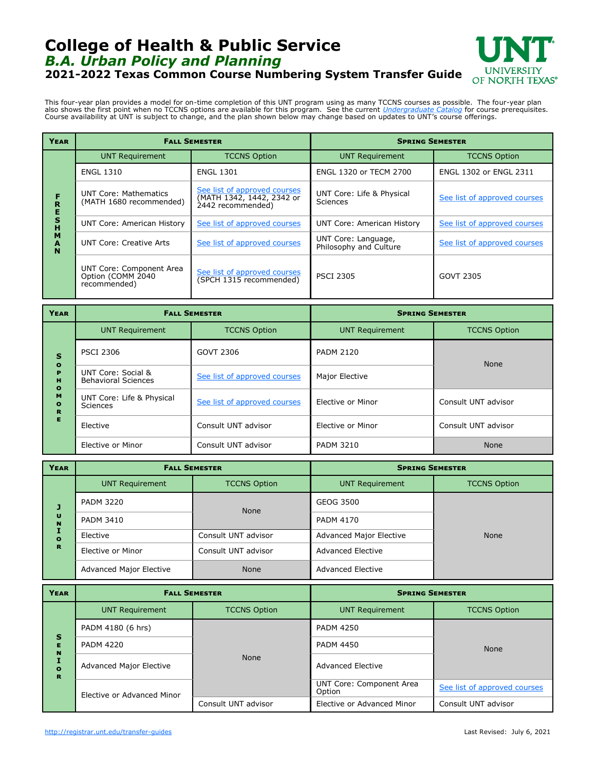## **College of Health & Public Service** *B.A. Urban Policy and Planning* **2021-2022 Texas Common Course Numbering System Transfer Guide**



This four-year plan provides a model for on-time completion of this UNT program using as many TCCNS courses as possible. The four-year plan also shows the first point when no TCCNS options are available for this program. See the current *[Undergraduate Catalog](http://catalog.unt.edu/)* for course prerequisites.<br>Course availability at UNT is subject to change, and the plan shown below m

| <b>YEAR</b>                          | <b>FALL SEMESTER</b>                                          |                                                                                | <b>SPRING SEMESTER</b>                        |                              |
|--------------------------------------|---------------------------------------------------------------|--------------------------------------------------------------------------------|-----------------------------------------------|------------------------------|
| F<br>R<br>E<br>S<br>Ĥ<br>M<br>A<br>N | <b>UNT Requirement</b>                                        | <b>TCCNS Option</b>                                                            | <b>UNT Requirement</b>                        | <b>TCCNS Option</b>          |
|                                      | <b>ENGL 1310</b>                                              | <b>ENGL 1301</b>                                                               | ENGL 1320 or TECM 2700                        | ENGL 1302 or ENGL 2311       |
|                                      | <b>UNT Core: Mathematics</b><br>(MATH 1680 recommended)       | See list of approved courses<br>(MATH 1342, 1442, 2342 or<br>2442 recommended) | UNT Core: Life & Physical<br>Sciences         | See list of approved courses |
|                                      | <b>UNT Core: American History</b>                             | See list of approved courses                                                   | <b>UNT Core: American History</b>             | See list of approved courses |
|                                      | UNT Core: Creative Arts                                       | See list of approved courses                                                   | UNT Core: Language,<br>Philosophy and Culture | See list of approved courses |
|                                      | UNT Core: Component Area<br>Option (COMM 2040<br>recommended) | See list of approved courses<br>(SPCH 1315 recommended)                        | <b>PSCI 2305</b>                              | GOVT 2305                    |

| YEAR                                                                                      | <b>FALL SEMESTER</b>                             |                              | <b>SPRING SEMESTER</b> |                     |
|-------------------------------------------------------------------------------------------|--------------------------------------------------|------------------------------|------------------------|---------------------|
| $\mathbf{s}$<br>$\bullet$<br>P<br>H<br>$\mathbf{o}$<br>M<br>$\bullet$<br>$\mathbf R$<br>Е | <b>UNT Requirement</b>                           | <b>TCCNS Option</b>          | <b>UNT Requirement</b> | <b>TCCNS Option</b> |
|                                                                                           | <b>PSCI 2306</b>                                 | GOVT 2306                    | <b>PADM 2120</b>       | None                |
|                                                                                           | UNT Core: Social &<br><b>Behavioral Sciences</b> | See list of approved courses | Major Elective         |                     |
|                                                                                           | UNT Core: Life & Physical<br>Sciences            | See list of approved courses | Elective or Minor      | Consult UNT advisor |
|                                                                                           | Elective                                         | Consult UNT advisor          | Elective or Minor      | Consult UNT advisor |
|                                                                                           | Elective or Minor                                | Consult UNT advisor          | <b>PADM 3210</b>       | <b>None</b>         |

| <b>YEAR</b>                                | <b>FALL SEMESTER</b>           |                     | <b>SPRING SEMESTER</b>         |                     |
|--------------------------------------------|--------------------------------|---------------------|--------------------------------|---------------------|
| J<br>U<br>N<br>$\mathbf{o}$<br>$\mathbf R$ | <b>UNT Requirement</b>         | <b>TCCNS Option</b> | <b>UNT Requirement</b>         | <b>TCCNS Option</b> |
|                                            | <b>PADM 3220</b>               | <b>None</b>         | GEOG 3500                      | <b>None</b>         |
|                                            | <b>PADM 3410</b>               |                     | <b>PADM 4170</b>               |                     |
|                                            | Elective                       | Consult UNT advisor | <b>Advanced Major Elective</b> |                     |
|                                            | Elective or Minor              | Consult UNT advisor | <b>Advanced Elective</b>       |                     |
|                                            | <b>Advanced Major Elective</b> | <b>None</b>         | Advanced Elective              |                     |

| <b>YEAR</b>                             | <b>FALL SEMESTER</b>           |                     | <b>SPRING SEMESTER</b>             |                              |
|-----------------------------------------|--------------------------------|---------------------|------------------------------------|------------------------------|
| $\mathbf{s}$<br>н<br>N<br>$\Omega$<br>R | <b>UNT Requirement</b>         | <b>TCCNS Option</b> | <b>UNT Requirement</b>             | <b>TCCNS Option</b>          |
|                                         | PADM 4180 (6 hrs)              | <b>None</b>         | <b>PADM 4250</b>                   | <b>None</b>                  |
|                                         | <b>PADM 4220</b>               |                     | <b>PADM 4450</b>                   |                              |
|                                         | <b>Advanced Major Elective</b> |                     | <b>Advanced Elective</b>           |                              |
|                                         | Elective or Advanced Minor     |                     | UNT Core: Component Area<br>Option | See list of approved courses |
|                                         |                                | Consult UNT advisor | Elective or Advanced Minor         | Consult UNT advisor          |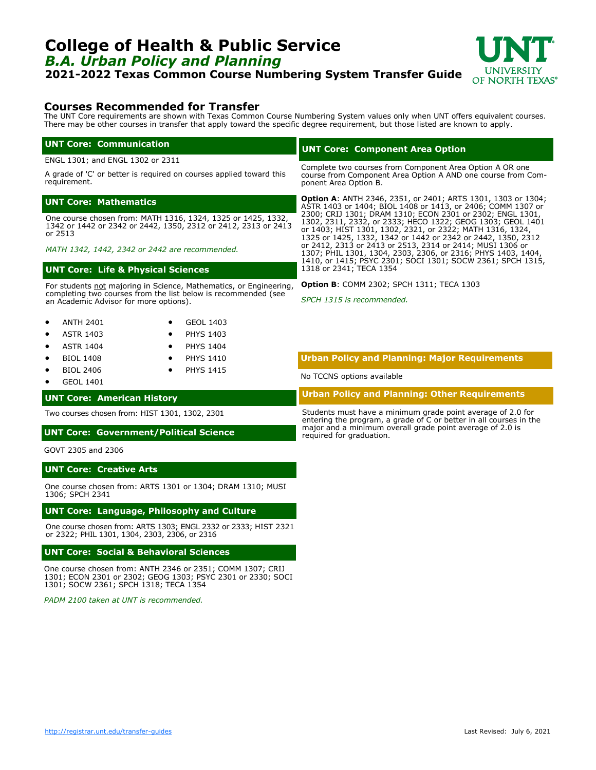## <span id="page-1-0"></span>**College of Health & Public Service** *B.A. Urban Policy and Planning*

**2021-2022 Texas Common Course Numbering System Transfer Guide**



### **Courses Recommended for Transfer**

The UNT Core requirements are shown with Texas Common Course Numbering System values only when UNT offers equivalent courses. There may be other courses in transfer that apply toward the specific degree requirement, but those listed are known to apply.

#### **UNT Core: Communication**

ENGL 1301; and ENGL 1302 or 2311

A grade of 'C' or better is required on courses applied toward this requirement.

#### **UNT Core: Mathematics**

One course chosen from: MATH 1316, 1324, 1325 or 1425, 1332, 1342 or 1442 or 2342 or 2442, 1350, 2312 or 2412, 2313 or 2413 or 2513

*MATH 1342, 1442, 2342 or 2442 are recommended.*

#### **UNT Core: Life & Physical Sciences**

For students not majoring in Science, Mathematics, or Engineering, completing two courses from the list below is recommended (see an Academic Advisor for more options).

| <b>ANTH 2401</b> | GEOL 1403 |
|------------------|-----------|
|------------------|-----------|

- ASTR 1403 PHYS 1403
- ASTR 1404 • PHYS 1404
- BIOL 1408 • PHYS 1410
- BIOL 2406 **PHYS 1415**
- GEOL 1401

#### **UNT Core: American History**

Two courses chosen from: HIST 1301, 1302, 2301

#### **UNT Core: Government/Political Science**

GOVT 2305 and 2306

#### **UNT Core: Creative Arts**

One course chosen from: ARTS 1301 or 1304; DRAM 1310; MUSI 1306; SPCH 2341

#### **UNT Core: Language, Philosophy and Culture**

One course chosen from: ARTS 1303; ENGL 2332 or 2333; HIST 2321 or 2322; PHIL 1301, 1304, 2303, 2306, or 2316

#### **UNT Core: Social & Behavioral Sciences**

One course chosen from: ANTH 2346 or 2351; COMM 1307; CRIJ 1301; ECON 2301 or 2302; GEOG 1303; PSYC 2301 or 2330; SOCI 1301; SOCW 2361; SPCH 1318; TECA 1354

*PADM 2100 taken at UNT is recommended.*

#### **UNT Core: Component Area Option**

Complete two courses from Component Area Option A OR one course from Component Area Option A AND one course from Component Area Option B.

**Option A**: ANTH 2346, 2351, or 2401; ARTS 1301, 1303 or 1304; ASTR 1403 or 1404; BIOL 1408 or 1413, or 2406; COMM 1307 or 2300; CRIJ 1301; DRAM 1310; ECON 2301 or 2302; ENGL 1301, 1302, 2311, 2332, or 2333; HECO 1322; GEOG 1303; GEOL 1401 or 1403; HIST 1301, 1302, 2321, or 2322; MATH 1316, 1324, 1325 or 1425, 1332, 1342 or 1442 or 2342 or 2442, 1350, 2312 or 2412, 2313 or 2413 or 2513, 2314 or 2414; MUSI 1306 or 1307; PHIL 1301, 1304, 2303, 2306, or 2316; PHYS 1403, 1404, 1410, or 1415; PSYC 2301; SOCI 1301; SOCW 2361; SPCH 1315, 1318 or 2341; TECA 1354

**Option B**: COMM 2302; SPCH 1311; TECA 1303

*SPCH 1315 is recommended.*

#### **Urban Policy and Planning: Major Requirements**

No TCCNS options available

**Urban Policy and Planning: Other Requirements**

Students must have a minimum grade point average of 2.0 for entering the program, a grade of C or better in all courses in the major and a minimum overall grade point average of 2.0 is required for graduation.